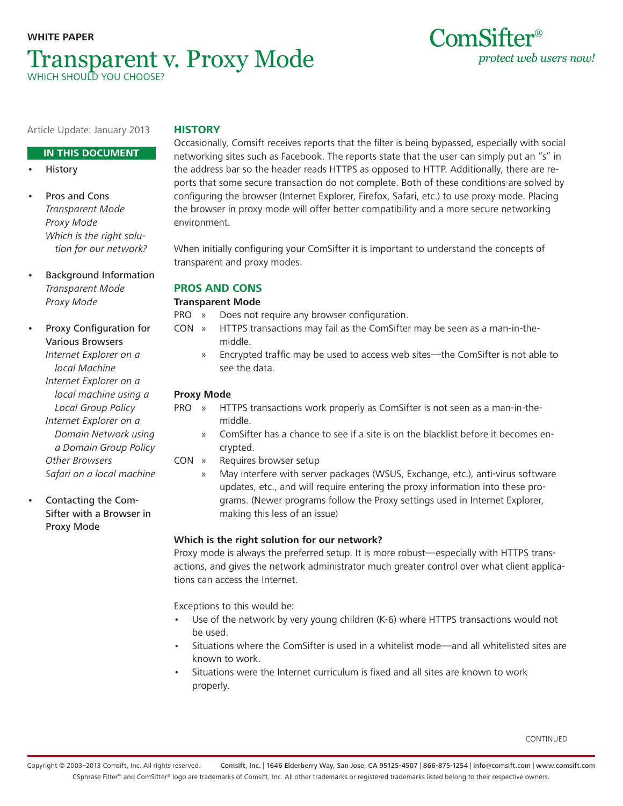# **WHITE PAPER** Transparent v. Proxy Mode Which should you choose?



**IN THIS DOCUMENT**

- **History**
- Pros and Cons Transparent Mode Proxy Mode Which is the right solution for our network?
- Background Information Transparent Mode Proxy Mode

• Proxy Configuration for Various Browsers Internet Explorer on a local Machine Internet Explorer on a local machine using a Local Group Policy Internet Explorer on a Domain Network using a Domain Group Policy Other Browsers Safari on a local machine

• Contacting the Com-Sifter with a Browser in Proxy Mode

# **History**

Occasionally, Comsift receives reports that the filter is being bypassed, especially with social networking sites such as Facebook. The reports state that the user can simply put an "s" in the address bar so the header reads HTTPS as opposed to HTTP. Additionally, there are reports that some secure transaction do not complete. Both of these conditions are solved by configuring the browser (Internet Explorer, Firefox, Safari, etc.) to use proxy mode. Placing the browser in proxy mode will offer better compatibility and a more secure networking environment.

ComSifter<sup>®</sup>

protect web users now!

When initially configuring your ComSifter it is important to understand the concepts of transparent and proxy modes.

## **Pros and Cons**

## **Transparent Mode**

- PRO » Does not require any browser configuration.
- CON » HTTPS transactions may fail as the ComSifter may be seen as a man-in-themiddle.
	- » Encrypted traffic may be used to access web sites—the ComSifter is not able to see the data.

## **Proxy Mode**

- PRO » HTTPS transactions work properly as ComSifter is not seen as a man-in-themiddle.
	- » ComSifter has a chance to see if a site is on the blacklist before it becomes encrypted.
- CON » Requires browser setup
	- » May interfere with server packages (WSUS, Exchange, etc.), anti-virus software updates, etc., and will require entering the proxy information into these programs. (Newer programs follow the Proxy settings used in Internet Explorer, making this less of an issue)

## **Which is the right solution for our network?**

Proxy mode is always the preferred setup. It is more robust—especially with HTTPS transactions, and gives the network administrator much greater control over what client applications can access the Internet.

Exceptions to this would be:

- Use of the network by very young children (K-6) where HTTPS transactions would not be used.
- Situations where the ComSifter is used in a whitelist mode—and all whitelisted sites are known to work.
- Situations were the Internet curriculum is fixed and all sites are known to work properly.

CONTINUED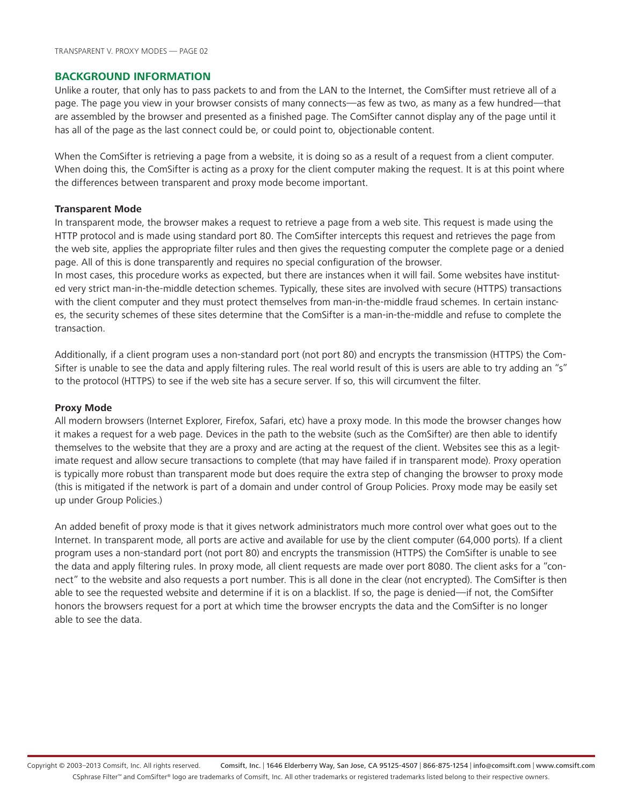#### **Background Information**

Unlike a router, that only has to pass packets to and from the LAN to the Internet, the ComSifter must retrieve all of a page. The page you view in your browser consists of many connects—as few as two, as many as a few hundred—that are assembled by the browser and presented as a finished page. The ComSifter cannot display any of the page until it has all of the page as the last connect could be, or could point to, objectionable content.

When the ComSifter is retrieving a page from a website, it is doing so as a result of a request from a client computer. When doing this, the ComSifter is acting as a proxy for the client computer making the request. It is at this point where the differences between transparent and proxy mode become important.

#### **Transparent Mode**

In transparent mode, the browser makes a request to retrieve a page from a web site. This request is made using the HTTP protocol and is made using standard port 80. The ComSifter intercepts this request and retrieves the page from the web site, applies the appropriate filter rules and then gives the requesting computer the complete page or a denied page. All of this is done transparently and requires no special configuration of the browser.

In most cases, this procedure works as expected, but there are instances when it will fail. Some websites have instituted very strict man-in-the-middle detection schemes. Typically, these sites are involved with secure (HTTPS) transactions with the client computer and they must protect themselves from man-in-the-middle fraud schemes. In certain instances, the security schemes of these sites determine that the ComSifter is a man-in-the-middle and refuse to complete the transaction.

Additionally, if a client program uses a non-standard port (not port 80) and encrypts the transmission (HTTPS) the Com-Sifter is unable to see the data and apply filtering rules. The real world result of this is users are able to try adding an "s" to the protocol (HTTPS) to see if the web site has a secure server. If so, this will circumvent the filter.

#### **Proxy Mode**

All modern browsers (Internet Explorer, Firefox, Safari, etc) have a proxy mode. In this mode the browser changes how it makes a request for a web page. Devices in the path to the website (such as the ComSifter) are then able to identify themselves to the website that they are a proxy and are acting at the request of the client. Websites see this as a legitimate request and allow secure transactions to complete (that may have failed if in transparent mode). Proxy operation is typically more robust than transparent mode but does require the extra step of changing the browser to proxy mode (this is mitigated if the network is part of a domain and under control of Group Policies. Proxy mode may be easily set up under Group Policies.)

An added benefit of proxy mode is that it gives network administrators much more control over what goes out to the Internet. In transparent mode, all ports are active and available for use by the client computer (64,000 ports). If a client program uses a non-standard port (not port 80) and encrypts the transmission (HTTPS) the ComSifter is unable to see the data and apply filtering rules. In proxy mode, all client requests are made over port 8080. The client asks for a "connect" to the website and also requests a port number. This is all done in the clear (not encrypted). The ComSifter is then able to see the requested website and determine if it is on a blacklist. If so, the page is denied—if not, the ComSifter honors the browsers request for a port at which time the browser encrypts the data and the ComSifter is no longer able to see the data.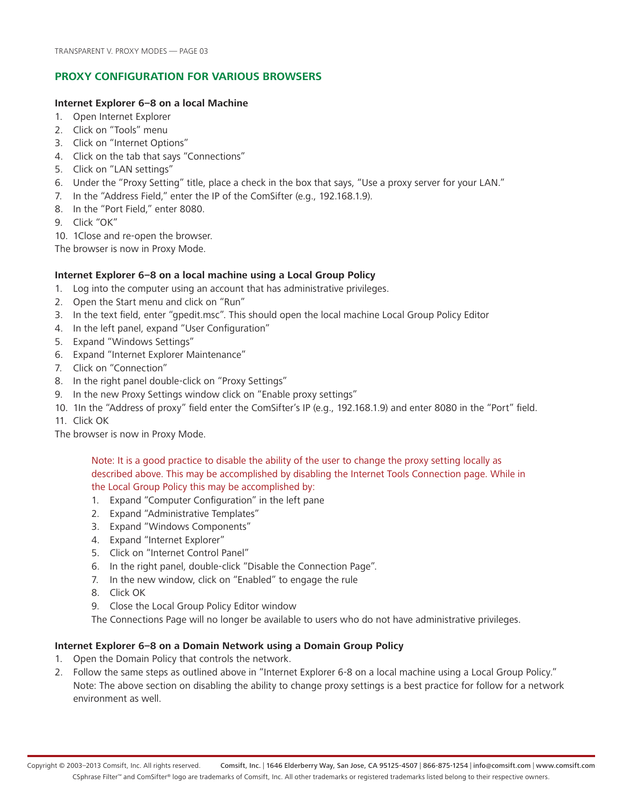## **Proxy Configuration for Various Browsers**

#### **Internet Explorer 6–8 on a local Machine**

- 1. Open Internet Explorer
- 2. Click on "Tools" menu
- 3. Click on "Internet Options"
- 4. Click on the tab that says "Connections"
- 5. Click on "LAN settings"
- 6. Under the "Proxy Setting" title, place a check in the box that says, "Use a proxy server for your LAN."
- 7. In the "Address Field," enter the IP of the ComSifter (e.g., 192.168.1.9).
- 8. In the "Port Field," enter 8080.
- 9. Click "OK"
- 10. 1Close and re-open the browser.

The browser is now in Proxy Mode.

### **Internet Explorer 6–8 on a local machine using a Local Group Policy**

- 1. Log into the computer using an account that has administrative privileges.
- 2. Open the Start menu and click on "Run"
- 3. In the text field, enter "gpedit.msc". This should open the local machine Local Group Policy Editor
- 4. In the left panel, expand "User Configuration"
- 5. Expand "Windows Settings"
- 6. Expand "Internet Explorer Maintenance"
- 7. Click on "Connection"
- 8. In the right panel double-click on "Proxy Settings"
- 9. In the new Proxy Settings window click on "Enable proxy settings"
- 10. 1In the "Address of proxy" field enter the ComSifter's IP (e.g., 192.168.1.9) and enter 8080 in the "Port" field.
- 11. Click OK

The browser is now in Proxy Mode.

Note: It is a good practice to disable the ability of the user to change the proxy setting locally as described above. This may be accomplished by disabling the Internet Tools Connection page. While in the Local Group Policy this may be accomplished by:

- 1. Expand "Computer Configuration" in the left pane
- 2. Expand "Administrative Templates"
- 3. Expand "Windows Components"
- 4. Expand "Internet Explorer"
- 5. Click on "Internet Control Panel"
- 6. In the right panel, double-click "Disable the Connection Page".
- 7. In the new window, click on "Enabled" to engage the rule
- 8. Click OK
- 9. Close the Local Group Policy Editor window

The Connections Page will no longer be available to users who do not have administrative privileges.

#### **Internet Explorer 6–8 on a Domain Network using a Domain Group Policy**

- 1. Open the Domain Policy that controls the network.
- 2. Follow the same steps as outlined above in "Internet Explorer 6-8 on a local machine using a Local Group Policy." Note: The above section on disabling the ability to change proxy settings is a best practice for follow for a network environment as well.